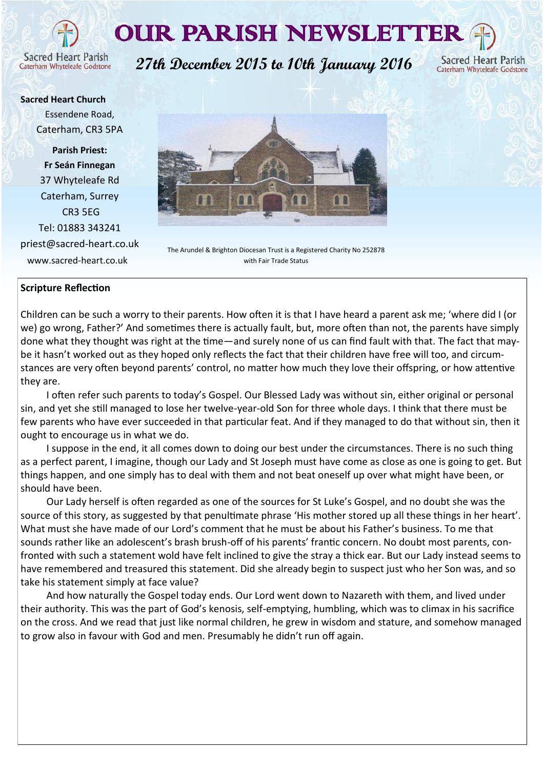# OUR PARISH NEWSLETTER

**Sacred Heart Parish** Caterham Whyteleafe Godstone

**27th December 2015 to 10th January 2016**

Sacred Heart Parish Caterham Whyteleafe Godstone

**Sacred Heart Church** Essendene Road, Caterham, CR3 5PA

**Parish Priest: Fr Seán Finnegan** 37 Whyteleafe Rd Caterham, Surrey CR3 5EG Tel: 01883 343241 priest@sacred-heart.co.uk www.sacred-heart.co.uk



The Arundel & Brighton Diocesan Trust is a Registered Charity No 252878 with Fair Trade Status

# **Scripture Reflection**

Children can be such a worry to their parents. How often it is that I have heard a parent ask me; 'where did I (or we) go wrong, Father?' And sometimes there is actually fault, but, more often than not, the parents have simply done what they thought was right at the time—and surely none of us can find fault with that. The fact that maybe it hasn't worked out as they hoped only reflects the fact that their children have free will too, and circumstances are very often beyond parents' control, no matter how much they love their offspring, or how attentive they are.

I often refer such parents to today's Gospel. Our Blessed Lady was without sin, either original or personal sin, and yet she still managed to lose her twelve-year-old Son for three whole days. I think that there must be few parents who have ever succeeded in that particular feat. And if they managed to do that without sin, then it ought to encourage us in what we do.

I suppose in the end, it all comes down to doing our best under the circumstances. There is no such thing as a perfect parent, I imagine, though our Lady and St Joseph must have come as close as one is going to get. But things happen, and one simply has to deal with them and not beat oneself up over what might have been, or should have been.

Our Lady herself is often regarded as one of the sources for St Luke's Gospel, and no doubt she was the source of this story, as suggested by that penultimate phrase 'His mother stored up all these things in her heart'. What must she have made of our Lord's comment that he must be about his Father's business. To me that sounds rather like an adolescent's brash brush-off of his parents' frantic concern. No doubt most parents, confronted with such a statement wold have felt inclined to give the stray a thick ear. But our Lady instead seems to have remembered and treasured this statement. Did she already begin to suspect just who her Son was, and so take his statement simply at face value?

And how naturally the Gospel today ends. Our Lord went down to Nazareth with them, and lived under their authority. This was the part of God's kenosis, self-emptying, humbling, which was to climax in his sacrifice on the cross. And we read that just like normal children, he grew in wisdom and stature, and somehow managed to grow also in favour with God and men. Presumably he didn't run off again.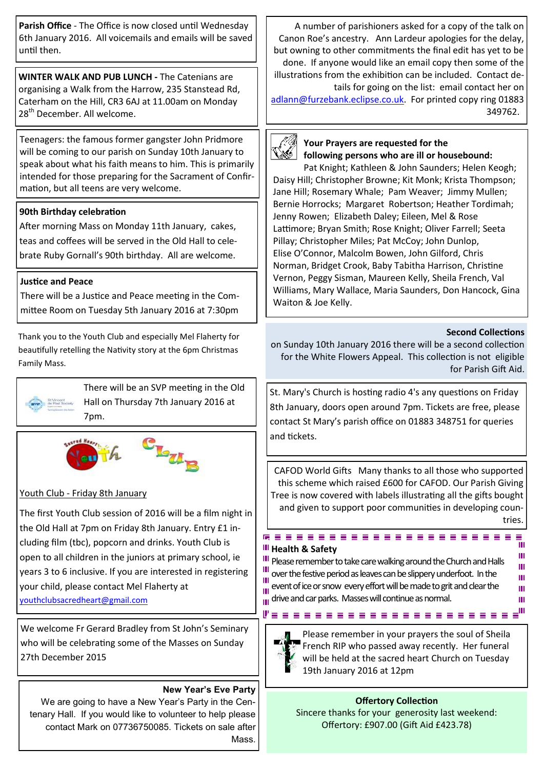**Parish Office** - The Office is now closed until Wednesday 6th January 2016. All voicemails and emails will be saved until then.

**WINTER WALK AND PUB LUNCH -** The Catenians are organising a Walk from the Harrow, 235 Stanstead Rd, Caterham on the Hill, CR3 6AJ at 11.00am on Monday 28<sup>th</sup> December. All welcome.

Teenagers: the famous former gangster John Pridmore will be coming to our parish on Sunday 10th January to speak about what his faith means to him. This is primarily intended for those preparing for the Sacrament of Confirmation, but all teens are very welcome.

# **90th Birthday celebration**

After morning Mass on Monday 11th January, cakes, teas and coffees will be served in the Old Hall to celebrate Ruby Gornall's 90th birthday. All are welcome.

# **Justice and Peace**

There will be a Justice and Peace meeting in the Committee Room on Tuesday 5th January 2016 at 7:30pm

Thank you to the Youth Club and especially Mel Flaherty for beautifully retelling the Nativity story at the 6pm Christmas Family Mass.



There will be an SVP meeting in the Old Hall on Thursday 7th January 2016 at 7pm.



# Youth Club - Friday 8th January

The first Youth Club session of 2016 will be a film night in the Old Hall at 7pm on Friday 8th January. Entry £1 including film (tbc), popcorn and drinks. Youth Club is open to all children in the juniors at primary school, ie years 3 to 6 inclusive. If you are interested in registering your child, please contact Mel Flaherty at [youthclubsacredheart@gmail.com](mailto:youthclubsacredheart@gmail.com)

We welcome Fr Gerard Bradley from St John's Seminary who will be celebrating some of the Masses on Sunday 27th December 2015

# **New Year's Eve Party**

We are going to have a New Year's Party in the Centenary Hall. If you would like to volunteer to help please contact Mark on 07736750085. Tickets on sale after Mass.

A number of parishioners asked for a copy of the talk on Canon Roe's ancestry. Ann Lardeur apologies for the delay, but owning to other commitments the final edit has yet to be done. If anyone would like an email copy then some of the

illustrations from the exhibition can be included. Contact details for going on the list: email contact her on [adlann@furzebank.eclipse.co.uk.](mailto:adlann@furzebank.eclipse.co.uk) For printed copy ring 01883 349762.



#### **Your Prayers are requested for the following persons who are ill or housebound:**

Pat Knight; Kathleen & John Saunders; Helen Keogh; Daisy Hill; Christopher Browne; Kit Monk; Krista Thompson; Jane Hill; Rosemary Whale; Pam Weaver; Jimmy Mullen; Bernie Horrocks; Margaret Robertson; Heather Tordimah; Jenny Rowen; Elizabeth Daley; Eileen, Mel & Rose Lattimore; Bryan Smith; Rose Knight; Oliver Farrell; Seeta Pillay; Christopher Miles; Pat McCoy; John Dunlop, Elise O'Connor, Malcolm Bowen, John Gilford, Chris Norman, Bridget Crook, Baby Tabitha Harrison, Christine Vernon, Peggy Sisman, Maureen Kelly, Sheila French, Val Williams, Mary Wallace, Maria Saunders, Don Hancock, Gina Waiton & Joe Kelly.

# **Second Collections**

m Ш Ш ш m

ш

on Sunday 10th January 2016 there will be a second collection for the White Flowers Appeal. This collection is not eligible for Parish Gift Aid.

St. Mary's Church is hosting radio 4's any questions on Friday 8th January, doors open around 7pm. Tickets are free, please contact St Mary's parish office on 01883 348751 for queries and tickets.

CAFOD World Gifts Many thanks to all those who supported this scheme which raised £600 for CAFOD. Our Parish Giving Tree is now covered with labels illustrating all the gifts bought and given to support poor communities in developing countries.

# **H** Health & Safety

III Please remember to take care walking around the Church and Halls over the festive period as leaves can be slippery underfoot. In the event of ice or snow every effort will be made to grit and clear the  $\frac{d}{d\mathbf{u}}$  drive and car parks. Masses will continue as normal.

...<br>L'essessessessessesses el



Ш

Please remember in your prayers the soul of Sheila French RIP who passed away recently. Her funeral will be held at the sacred heart Church on Tuesday 19th January 2016 at 12pm

**Offertory Collection** Sincere thanks for your generosity last weekend: Offertory: £907.00 (Gift Aid £423.78)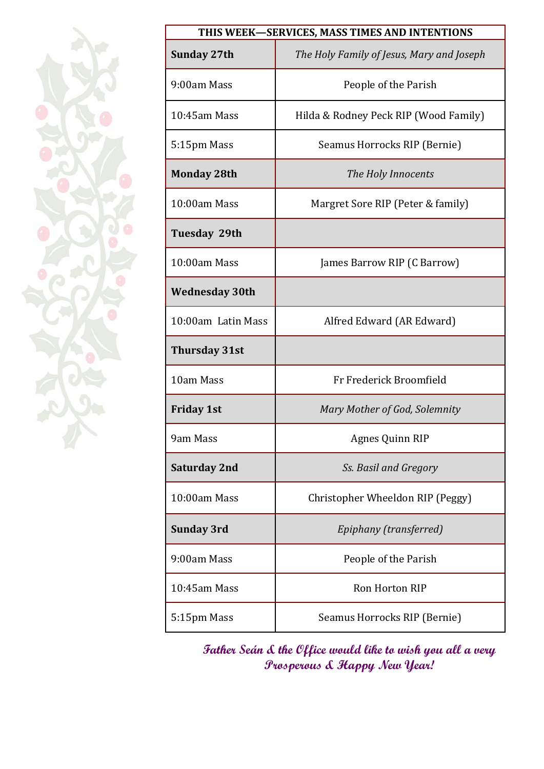| THIS WEEK-SERVICES, MASS TIMES AND INTENTIONS |                                           |  |  |
|-----------------------------------------------|-------------------------------------------|--|--|
| Sunday 27th                                   | The Holy Family of Jesus, Mary and Joseph |  |  |
| 9:00am Mass                                   | People of the Parish                      |  |  |
| $10:45$ am Mass                               | Hilda & Rodney Peck RIP (Wood Family)     |  |  |
| 5:15pm Mass                                   | Seamus Horrocks RIP (Bernie)              |  |  |
| <b>Monday 28th</b>                            | The Holy Innocents                        |  |  |
| 10:00am Mass                                  | Margret Sore RIP (Peter & family)         |  |  |
| <b>Tuesday 29th</b>                           |                                           |  |  |
| 10:00am Mass                                  | James Barrow RIP (C Barrow)               |  |  |
| <b>Wednesday 30th</b>                         |                                           |  |  |
| 10:00am Latin Mass                            | Alfred Edward (AR Edward)                 |  |  |
| <b>Thursday 31st</b>                          |                                           |  |  |
| 10am Mass                                     | Fr Frederick Broomfield                   |  |  |
| <b>Friday 1st</b>                             | Mary Mother of God, Solemnity             |  |  |
| 9am Mass                                      | Agnes Quinn RIP                           |  |  |
| Saturday 2nd                                  | Ss. Basil and Gregory                     |  |  |
| 10:00am Mass                                  | Christopher Wheeldon RIP (Peggy)          |  |  |
| <b>Sunday 3rd</b>                             | Epiphany (transferred)                    |  |  |
| 9:00am Mass                                   | People of the Parish                      |  |  |
| $10:45$ am Mass                               | Ron Horton RIP                            |  |  |
| 5:15pm Mass                                   | Seamus Horrocks RIP (Bernie)              |  |  |

**Father Seán & the Office would like to wish you all a very Prosperous & Happy New Year!**